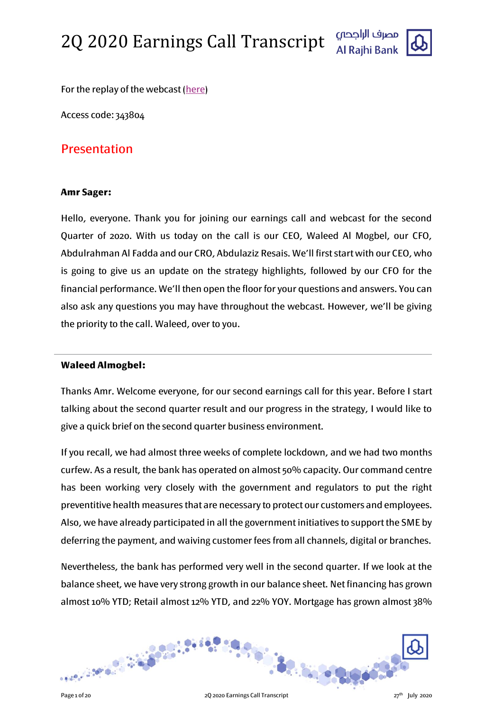

For the replay of the webcast [\(here\)](http://www.incommuk.com/customers/alrajhibank2q)

Access code: 343804

### Presentation

#### **Amr Sager:**

Hello, everyone. Thank you for joining our earnings call and webcast for the second Quarter of 2020. With us today on the call is our CEO, Waleed Al Mogbel, our CFO, Abdulrahman Al Fadda and our CRO, Abdulaziz Resais. We'll first start with our CEO, who is going to give us an update on the strategy highlights, followed by our CFO for the financial performance. We'll then open the floor for your questions and answers. You can also ask any questions you may have throughout the webcast. However, we'll be giving the priority to the call. Waleed, over to you.

#### **Waleed Almogbel:**

Thanks Amr. Welcome everyone, for our second earnings call for this year. Before I start talking about the second quarter result and our progress in the strategy, I would like to give a quick brief on the second quarter business environment.

If you recall, we had almost three weeks of complete lockdown, and we had two months curfew. As a result, the bank has operated on almost 50% capacity. Our command centre has been working very closely with the government and regulators to put the right preventitive health measures that are necessary to protect our customers and employees. Also, we have already participated in all the government initiatives to support the SME by deferring the payment, and waiving customer fees from all channels, digital or branches.

Nevertheless, the bank has performed very well in the second quarter. If we look at the balance sheet, we have very strong growth in our balance sheet. Net financing has grown almost 10% YTD; Retail almost 12% YTD, and 22% YOY. Mortgage has grown almost 38%

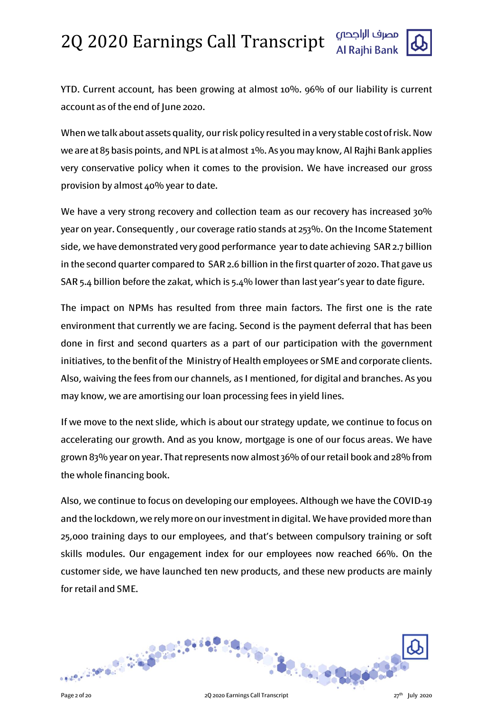

YTD. Current account, has been growing at almost 10%. 96% of our liability is current account as of the end of June 2020.

When we talk about assets quality, our risk policy resulted in a very stable cost of risk. Now we are at 85 basis points, and NPL is at almost 1%. As you may know, Al Rajhi Bank applies very conservative policy when it comes to the provision. We have increased our gross provision by almost 40% year to date.

We have a very strong recovery and collection team as our recovery has increased 30% year on year. Consequently , our coverage ratio stands at 253%. On the Income Statement side, we have demonstrated very good performance year to date achieving SAR 2.7 billion in the second quarter compared to SAR 2.6 billion in the first quarter of 2020. That gave us SAR 5.4 billion before the zakat, which is 5.4% lower than last year's year to date figure.

The impact on NPMs has resulted from three main factors. The first one is the rate environment that currently we are facing. Second is the payment deferral that has been done in first and second quarters as a part of our participation with the government initiatives, to the benfit of the Ministry of Health employees or SME and corporate clients. Also, waiving the fees from our channels, as I mentioned, for digital and branches. As you may know, we are amortising our loan processing fees in yield lines.

If we move to the next slide, which is about our strategy update, we continue to focus on accelerating our growth. And as you know, mortgage is one of our focus areas. We have grown 83% year on year. That represents now almost 36% of our retail book and 28% from the whole financing book.

Also, we continue to focus on developing our employees. Although we have the COVID-19 and the lockdown, we rely more on our investment in digital. We have provided more than 25,000 training days to our employees, and that's between compulsory training or soft skills modules. Our engagement index for our employees now reached 66%. On the customer side, we have launched ten new products, and these new products are mainly for retail and SME.

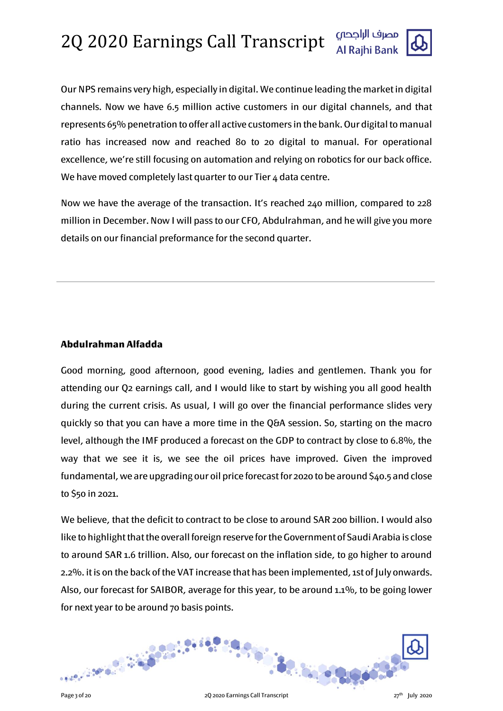

Our NPS remains very high, especially in digital. We continue leading the market in digital channels. Now we have 6.5 million active customers in our digital channels, and that represents 65% penetration to offer all active customers in the bank. Our digital to manual ratio has increased now and reached 80 to 20 digital to manual. For operational excellence, we're still focusing on automation and relying on robotics for our back office. We have moved completely last quarter to our Tier 4 data centre.

Now we have the average of the transaction. It's reached 240 million, compared to 228 million in December. Now I will pass to our CFO, Abdulrahman, and he will give you more details on our financial preformance for the second quarter.

#### **Abdulrahman Alfadda**

Good morning, good afternoon, good evening, ladies and gentlemen. Thank you for attending our Q2 earnings call, and I would like to start by wishing you all good health during the current crisis. As usual, I will go over the financial performance slides very quickly so that you can have a more time in the Q&A session. So, starting on the macro level, although the IMF produced a forecast on the GDP to contract by close to 6.8%, the way that we see it is, we see the oil prices have improved. Given the improved fundamental, we are upgrading our oil price forecast for 2020 to be around \$40.5 and close to \$50 in 2021.

We believe, that the deficit to contract to be close to around SAR 200 billion. I would also like to highlight that the overall foreign reserve for the Government of Saudi Arabia is close to around SAR 1.6 trillion. Also, our forecast on the inflation side, to go higher to around 2.2%. it is on the back of the VAT increase that has been implemented, 1st of July onwards. Also, our forecast for SAIBOR, average for this year, to be around 1.1%, to be going lower for next year to be around 70 basis points.

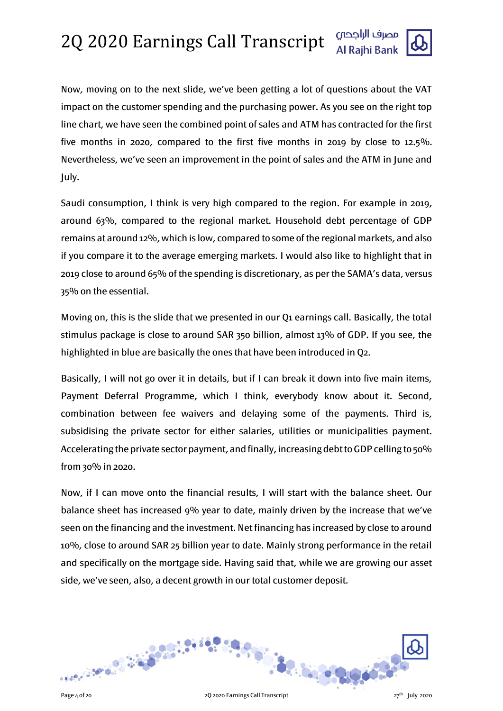Now, moving on to the next slide, we've been getting a lot of questions about the VAT impact on the customer spending and the purchasing power. As you see on the right top line chart, we have seen the combined point of sales and ATM has contracted for the first five months in 2020, compared to the first five months in 2019 by close to 12.5%. Nevertheless, we've seen an improvement in the point of sales and the ATM in June and July.

Saudi consumption, I think is very high compared to the region. For example in 2019, around 63%, compared to the regional market. Household debt percentage of GDP remains at around 12%, which is low, compared to some of the regional markets, and also if you compare it to the average emerging markets. I would also like to highlight that in 2019 close to around 65% of the spending is discretionary, as per the SAMA's data, versus 35% on the essential.

Moving on, this is the slide that we presented in our Q1 earnings call. Basically, the total stimulus package is close to around SAR 350 billion, almost 13% of GDP. If you see, the highlighted in blue are basically the ones that have been introduced in Q2.

Basically, I will not go over it in details, but if I can break it down into five main items, Payment Deferral Programme, which I think, everybody know about it. Second, combination between fee waivers and delaying some of the payments. Third is, subsidising the private sector for either salaries, utilities or municipalities payment. Accelerating the private sector payment, and finally, increasing debt to GDP celling to 50% from 30% in 2020.

Now, if I can move onto the financial results, I will start with the balance sheet. Our balance sheet has increased 9% year to date, mainly driven by the increase that we've seen on the financing and the investment. Net financing has increased by close to around 10%, close to around SAR 25 billion year to date. Mainly strong performance in the retail and specifically on the mortgage side. Having said that, while we are growing our asset side, we've seen, also, a decent growth in our total customer deposit.

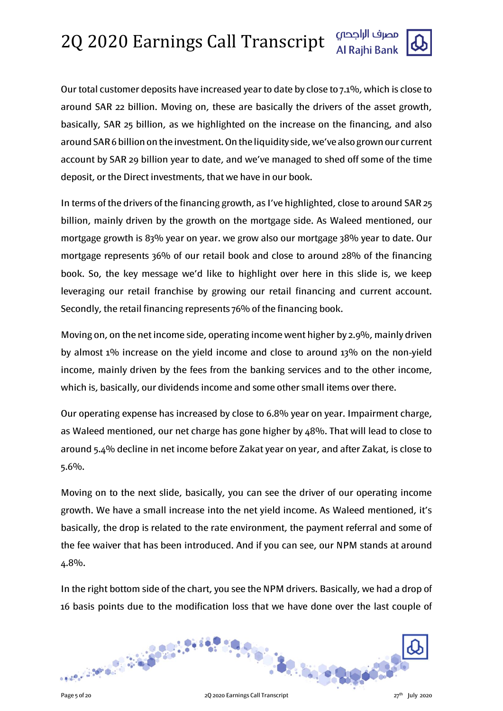Our total customer deposits have increased year to date by close to 7.1%, which is close to around SAR 22 billion. Moving on, these are basically the drivers of the asset growth, basically, SAR 25 billion, as we highlighted on the increase on the financing, and also around SAR 6 billion on the investment. On the liquidity side, we've also grown our current account by SAR 29 billion year to date, and we've managed to shed off some of the time deposit, or the Direct investments, that we have in our book.

In terms of the drivers of the financing growth, as I've highlighted, close to around SAR 25 billion, mainly driven by the growth on the mortgage side. As Waleed mentioned, our mortgage growth is 83% year on year. we grow also our mortgage 38% year to date. Our mortgage represents 36% of our retail book and close to around 28% of the financing book. So, the key message we'd like to highlight over here in this slide is, we keep leveraging our retail franchise by growing our retail financing and current account. Secondly, the retail financing represents 76% of the financing book.

Moving on, on the net income side, operating income went higher by 2.9%, mainly driven by almost 1% increase on the yield income and close to around 13% on the non-yield income, mainly driven by the fees from the banking services and to the other income, which is, basically, our dividends income and some other small items over there.

Our operating expense has increased by close to 6.8% year on year. Impairment charge, as Waleed mentioned, our net charge has gone higher by 48%. That will lead to close to around 5.4% decline in net income before Zakat year on year, and after Zakat, is close to 5.6%.

Moving on to the next slide, basically, you can see the driver of our operating income growth. We have a small increase into the net yield income. As Waleed mentioned, it's basically, the drop is related to the rate environment, the payment referral and some of the fee waiver that has been introduced. And if you can see, our NPM stands at around 4.8%.

In the right bottom side of the chart, you see the NPM drivers. Basically, we had a drop of 16 basis points due to the modification loss that we have done over the last couple of

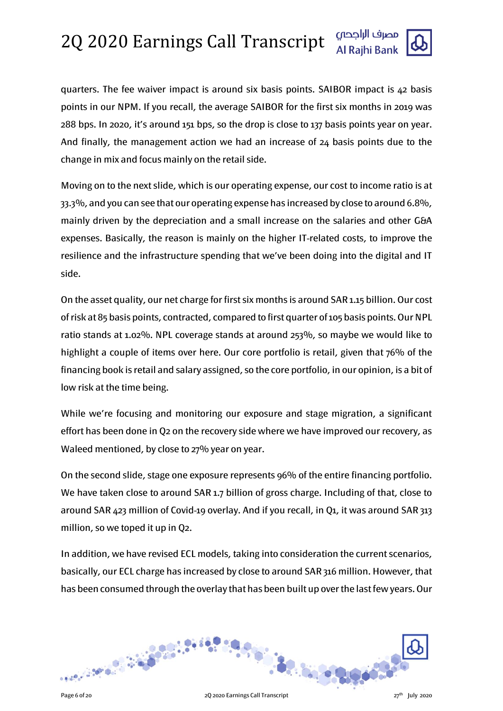

quarters. The fee waiver impact is around six basis points. SAIBOR impact is 42 basis points in our NPM. If you recall, the average SAIBOR for the first six months in 2019 was 288 bps. In 2020, it's around 151 bps, so the drop is close to 137 basis points year on year. And finally, the management action we had an increase of 24 basis points due to the change in mix and focus mainly on the retail side.

Moving on to the next slide, which is our operating expense, our cost to income ratio is at 33.3%, and you can see that our operating expense has increased by close to around 6.8%, mainly driven by the depreciation and a small increase on the salaries and other G&A expenses. Basically, the reason is mainly on the higher IT-related costs, to improve the resilience and the infrastructure spending that we've been doing into the digital and IT side.

On the asset quality, our net charge for first six months is around SAR 1.15 billion. Our cost of risk at 85 basis points, contracted, compared to first quarter of 105 basis points. Our NPL ratio stands at 1.02%. NPL coverage stands at around 253%, so maybe we would like to highlight a couple of items over here. Our core portfolio is retail, given that 76% of the financing book is retail and salary assigned, so the core portfolio, in our opinion, is a bit of low risk at the time being.

While we're focusing and monitoring our exposure and stage migration, a significant effort has been done in Q2 on the recovery side where we have improved our recovery, as Waleed mentioned, by close to 27% year on year.

On the second slide, stage one exposure represents 96% of the entire financing portfolio. We have taken close to around SAR 1.7 billion of gross charge. Including of that, close to around SAR 423 million of Covid-19 overlay. And if you recall, in Q1, it was around SAR 313 million, so we toped it up in Q2.

In addition, we have revised ECL models, taking into consideration the current scenarios, basically, our ECL charge has increased by close to around SAR 316 million. However, that has been consumed through the overlay that has been built up over the last few years. Our

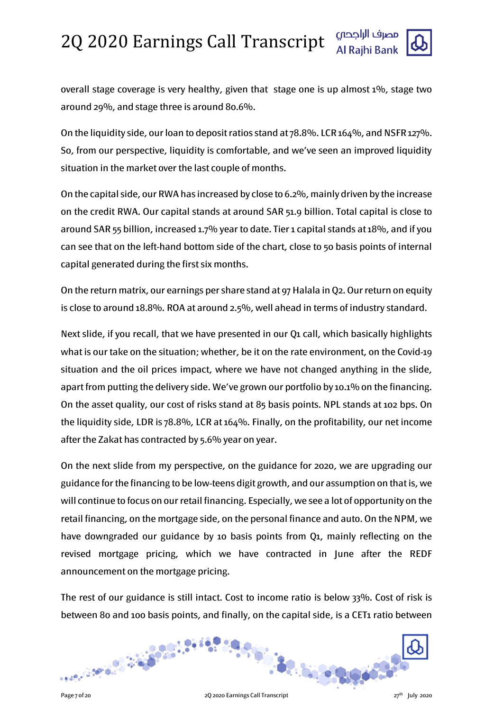

overall stage coverage is very healthy, given that stage one is up almost 1%, stage two around 29%, and stage three is around 80.6%.

On the liquidity side, our loan to deposit ratios stand at 78.8%. LCR 164%, and NSFR 127%. So, from our perspective, liquidity is comfortable, and we've seen an improved liquidity situation in the market over the last couple of months.

On the capital side, our RWA has increased by close to 6.2%, mainly driven by the increase on the credit RWA. Our capital stands at around SAR 51.9 billion. Total capital is close to around SAR 55 billion, increased 1.7% year to date. Tier 1 capital stands at 18%, and if you can see that on the left-hand bottom side of the chart, close to 50 basis points of internal capital generated during the first six months.

On the return matrix, our earnings per share stand at 97 Halala in Q2. Our return on equity is close to around 18.8%. ROA at around 2.5%, well ahead in terms of industry standard.

Next slide, if you recall, that we have presented in our Q1 call, which basically highlights what is our take on the situation; whether, be it on the rate environment, on the Covid-19 situation and the oil prices impact, where we have not changed anything in the slide, apart from putting the delivery side. We've grown our portfolio by 10.1% on the financing. On the asset quality, our cost of risks stand at 85 basis points. NPL stands at 102 bps. On the liquidity side, LDR is 78.8%, LCR at 164%. Finally, on the profitability, our net income after the Zakat has contracted by 5.6% year on year.

On the next slide from my perspective, on the guidance for 2020, we are upgrading our guidance for the financing to be low-teens digit growth, and our assumption on that is, we will continue to focus on our retail financing. Especially, we see a lot of opportunity on the retail financing, on the mortgage side, on the personal finance and auto. On the NPM, we have downgraded our guidance by 10 basis points from Q1, mainly reflecting on the revised mortgage pricing, which we have contracted in June after the REDF announcement on the mortgage pricing.

The rest of our guidance is still intact. Cost to income ratio is below 33%. Cost of risk is between 80 and 100 basis points, and finally, on the capital side, is a CET1 ratio between

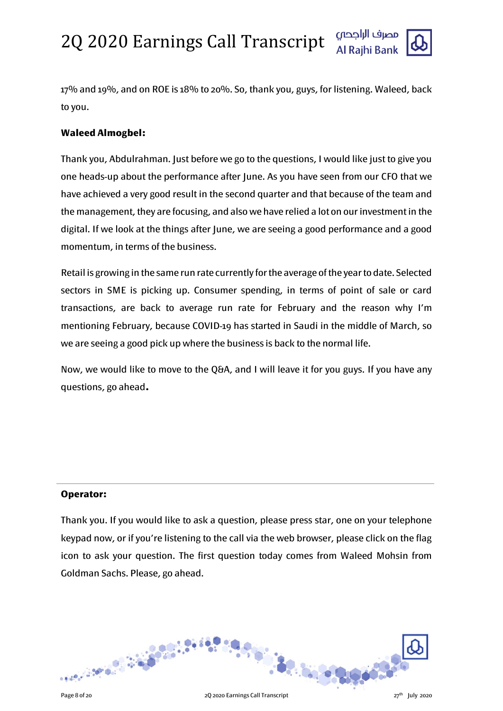

17% and 19%, and on ROE is 18% to 20%. So, thank you, guys, for listening. Waleed, back to you.

#### **Waleed Almogbel:**

Thank you, Abdulrahman. Just before we go to the questions, I would like just to give you one heads-up about the performance after June. As you have seen from our CFO that we have achieved a very good result in the second quarter and that because of the team and the management, they are focusing, and also we have relied a lot on our investment in the digital. If we look at the things after June, we are seeing a good performance and a good momentum, in terms of the business.

Retail is growing in the same run rate currently for the average of the year to date. Selected sectors in SME is picking up. Consumer spending, in terms of point of sale or card transactions, are back to average run rate for February and the reason why I'm mentioning February, because COVID-19 has started in Saudi in the middle of March, so we are seeing a good pick up where the business is back to the normal life.

Now, we would like to move to the Q&A, and I will leave it for you guys. If you have any questions, go ahead**.**

#### **Operator:**

Thank you. If you would like to ask a question, please press star, one on your telephone keypad now, or if you're listening to the call via the web browser, please click on the flag icon to ask your question. The first question today comes from Waleed Mohsin from Goldman Sachs. Please, go ahead.

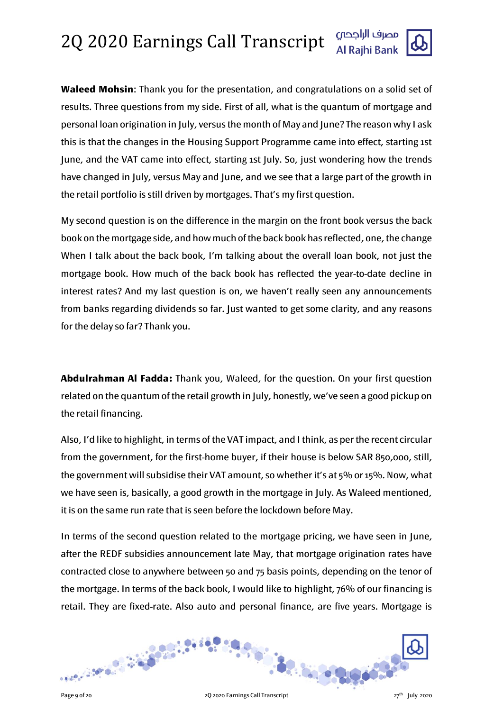**Waleed Mohsin**: Thank you for the presentation, and congratulations on a solid set of results. Three questions from my side. First of all, what is the quantum of mortgage and personal loan origination in July, versus the month of May and June? The reason why I ask this is that the changes in the Housing Support Programme came into effect, starting 1st June, and the VAT came into effect, starting 1st July. So, just wondering how the trends have changed in July, versus May and June, and we see that a large part of the growth in the retail portfolio is still driven by mortgages. That's my first question.

My second question is on the difference in the margin on the front book versus the back book on the mortgage side, and how much of the back book has reflected, one, the change When I talk about the back book, I'm talking about the overall loan book, not just the mortgage book. How much of the back book has reflected the year-to-date decline in interest rates? And my last question is on, we haven't really seen any announcements from banks regarding dividends so far. Just wanted to get some clarity, and any reasons for the delay so far? Thank you.

**Abdulrahman Al Fadda:** Thank you, Waleed, for the question. On your first question related on the quantum of the retail growth in July, honestly, we've seen a good pickup on the retail financing.

Also, I'd like to highlight, in terms of the VAT impact, and I think, as per the recent circular from the government, for the first-home buyer, if their house is below SAR 850,000, still, the government will subsidise their VAT amount, so whether it's at 5% or 15%. Now, what we have seen is, basically, a good growth in the mortgage in July. As Waleed mentioned, it is on the same run rate that is seen before the lockdown before May.

In terms of the second question related to the mortgage pricing, we have seen in June, after the REDF subsidies announcement late May, that mortgage origination rates have contracted close to anywhere between 50 and 75 basis points, depending on the tenor of the mortgage. In terms of the back book, I would like to highlight, 76% of our financing is retail. They are fixed-rate. Also auto and personal finance, are five years. Mortgage is

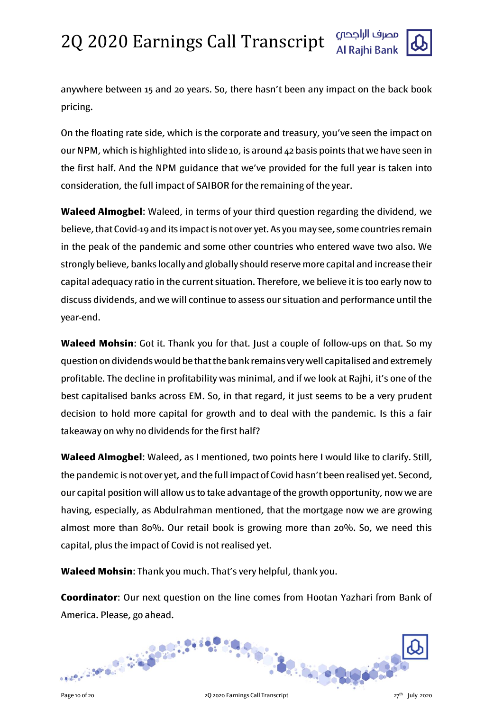

anywhere between 15 and 20 years. So, there hasn't been any impact on the back book pricing.

On the floating rate side, which is the corporate and treasury, you've seen the impact on our NPM, which is highlighted into slide 10, is around 42 basis points that we have seen in the first half. And the NPM guidance that we've provided for the full year is taken into consideration, the full impact of SAIBOR for the remaining of the year.

**Waleed Almogbel**: Waleed, in terms of your third question regarding the dividend, we believe, that Covid-19 and its impact is not over yet. As you may see, some countries remain in the peak of the pandemic and some other countries who entered wave two also. We strongly believe, banks locally and globally should reserve more capital and increase their capital adequacy ratio in the current situation. Therefore, we believe it is too early now to discuss dividends, and we will continue to assess our situation and performance until the year-end.

**Waleed Mohsin**: Got it. Thank you for that. Just a couple of follow-ups on that. So my question on dividends would be that the bank remains very well capitalised and extremely profitable. The decline in profitability was minimal, and if we look at Rajhi, it's one of the best capitalised banks across EM. So, in that regard, it just seems to be a very prudent decision to hold more capital for growth and to deal with the pandemic. Is this a fair takeaway on why no dividends for the first half?

**Waleed Almogbel**: Waleed, as I mentioned, two points here I would like to clarify. Still, the pandemic is not over yet, and the full impact of Covid hasn't been realised yet. Second, our capital position will allow us to take advantage of the growth opportunity, now we are having, especially, as Abdulrahman mentioned, that the mortgage now we are growing almost more than 80%. Our retail book is growing more than 20%. So, we need this capital, plus the impact of Covid is not realised yet.

**Waleed Mohsin**: Thank you much. That's very helpful, thank you.

**Coordinator**: Our next question on the line comes from Hootan Yazhari from Bank of America. Please, go ahead.

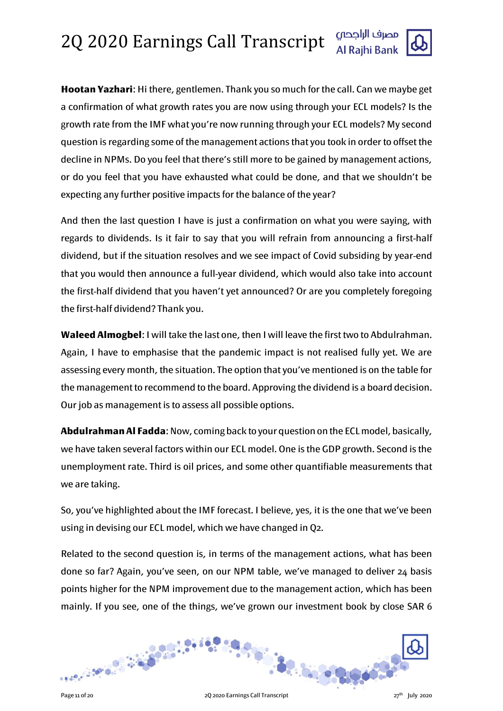**Hootan Yazhari**: Hi there, gentlemen. Thank you so much for the call. Can we maybe get a confirmation of what growth rates you are now using through your ECL models? Is the growth rate from the IMF what you're now running through your ECL models? My second question is regarding some of the management actions that you took in order to offset the decline in NPMs. Do you feel that there's still more to be gained by management actions, or do you feel that you have exhausted what could be done, and that we shouldn't be expecting any further positive impacts for the balance of the year?

And then the last question I have is just a confirmation on what you were saying, with regards to dividends. Is it fair to say that you will refrain from announcing a first-half dividend, but if the situation resolves and we see impact of Covid subsiding by year-end that you would then announce a full-year dividend, which would also take into account the first-half dividend that you haven't yet announced? Or are you completely foregoing the first-half dividend? Thank you.

**Waleed Almogbel**: I will take the last one, then I will leave the first two to Abdulrahman. Again, I have to emphasise that the pandemic impact is not realised fully yet. We are assessing every month, the situation. The option that you've mentioned is on the table for the management to recommend to the board. Approving the dividend is a board decision. Our job as management is to assess all possible options.

**Abdulrahman Al Fadda**: Now, coming back to your question on the ECL model, basically, we have taken several factors within our ECL model. One is the GDP growth. Second is the unemployment rate. Third is oil prices, and some other quantifiable measurements that we are taking.

So, you've highlighted about the IMF forecast. I believe, yes, it is the one that we've been using in devising our ECL model, which we have changed in Q2.

Related to the second question is, in terms of the management actions, what has been done so far? Again, you've seen, on our NPM table, we've managed to deliver 24 basis points higher for the NPM improvement due to the management action, which has been mainly. If you see, one of the things, we've grown our investment book by close SAR 6

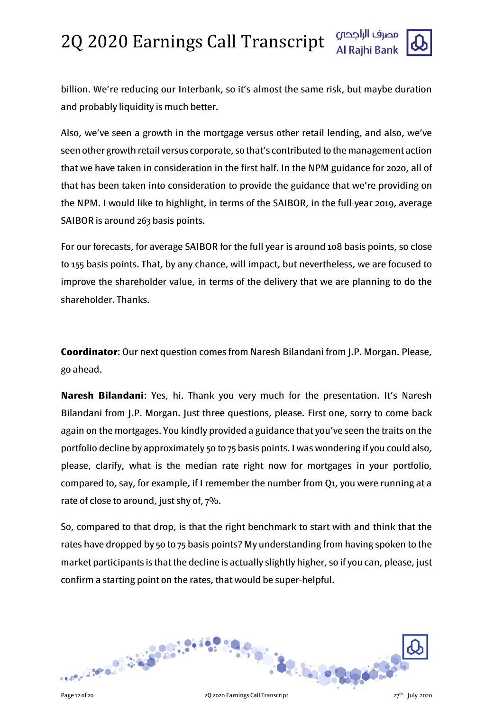

billion. We're reducing our Interbank, so it's almost the same risk, but maybe duration and probably liquidity is much better.

Also, we've seen a growth in the mortgage versus other retail lending, and also, we've seen other growth retail versus corporate, so that's contributed to the management action that we have taken in consideration in the first half. In the NPM guidance for 2020, all of that has been taken into consideration to provide the guidance that we're providing on the NPM. I would like to highlight, in terms of the SAIBOR, in the full-year 2019, average SAIBOR is around 263 basis points.

For our forecasts, for average SAIBOR for the full year is around 108 basis points, so close to 155 basis points. That, by any chance, will impact, but nevertheless, we are focused to improve the shareholder value, in terms of the delivery that we are planning to do the shareholder. Thanks.

**Coordinator**: Our next question comes from Naresh Bilandani from J.P. Morgan. Please, go ahead.

**Naresh Bilandani**: Yes, hi. Thank you very much for the presentation. It's Naresh Bilandani from J.P. Morgan. Just three questions, please. First one, sorry to come back again on the mortgages. You kindly provided a guidance that you've seen the traits on the portfolio decline by approximately 50 to 75 basis points. I was wondering if you could also, please, clarify, what is the median rate right now for mortgages in your portfolio, compared to, say, for example, if I remember the number from Q1, you were running at a rate of close to around, just shy of, 7%.

So, compared to that drop, is that the right benchmark to start with and think that the rates have dropped by 50 to 75 basis points? My understanding from having spoken to the market participants is that the decline is actually slightly higher, so if you can, please, just confirm a starting point on the rates, that would be super-helpful.

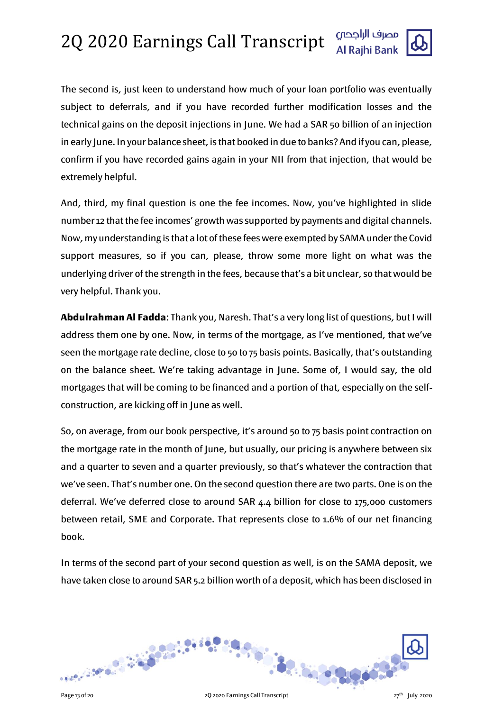

The second is, just keen to understand how much of your loan portfolio was eventually subject to deferrals, and if you have recorded further modification losses and the technical gains on the deposit injections in June. We had a SAR 50 billion of an injection in early June. In your balance sheet, is that booked in due to banks? And if you can, please, confirm if you have recorded gains again in your NII from that injection, that would be extremely helpful.

And, third, my final question is one the fee incomes. Now, you've highlighted in slide number 12 that the fee incomes' growth was supported by payments and digital channels. Now, my understanding is that a lot of these fees were exempted by SAMA under the Covid support measures, so if you can, please, throw some more light on what was the underlying driver of the strength in the fees, because that's a bit unclear, so that would be very helpful. Thank you.

**Abdulrahman Al Fadda**: Thank you, Naresh. That's a very long list of questions, but I will address them one by one. Now, in terms of the mortgage, as I've mentioned, that we've seen the mortgage rate decline, close to 50 to 75 basis points. Basically, that's outstanding on the balance sheet. We're taking advantage in June. Some of, I would say, the old mortgages that will be coming to be financed and a portion of that, especially on the selfconstruction, are kicking off in June as well.

So, on average, from our book perspective, it's around 50 to 75 basis point contraction on the mortgage rate in the month of June, but usually, our pricing is anywhere between six and a quarter to seven and a quarter previously, so that's whatever the contraction that we've seen. That's number one. On the second question there are two parts. One is on the deferral. We've deferred close to around SAR 4.4 billion for close to 175,000 customers between retail, SME and Corporate. That represents close to 1.6% of our net financing book.

In terms of the second part of your second question as well, is on the SAMA deposit, we have taken close to around SAR 5.2 billion worth of a deposit, which has been disclosed in

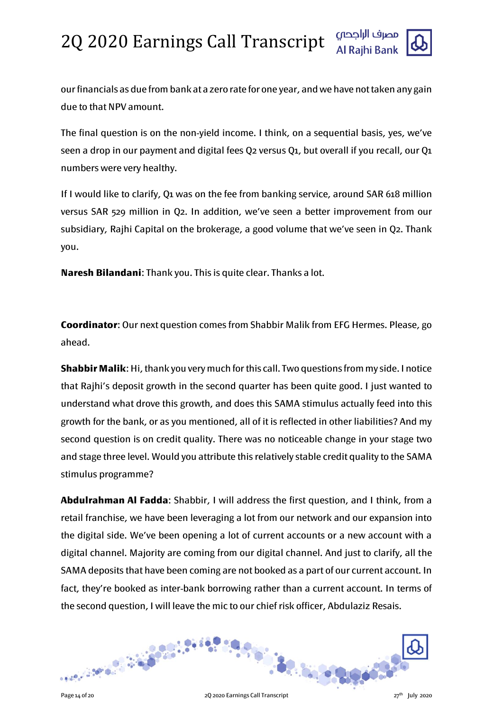

our financials as due from bank at a zero rate for one year, and we have not taken any gain due to that NPV amount.

The final question is on the non-yield income. I think, on a sequential basis, yes, we've seen a drop in our payment and digital fees Q2 versus Q1, but overall if you recall, our Q1 numbers were very healthy.

If I would like to clarify, Q1 was on the fee from banking service, around SAR 618 million versus SAR 529 million in Q2. In addition, we've seen a better improvement from our subsidiary, Rajhi Capital on the brokerage, a good volume that we've seen in Q2. Thank you.

**Naresh Bilandani**: Thank you. This is quite clear. Thanks a lot.

**Coordinator**: Our next question comes from Shabbir Malik from EFG Hermes. Please, go ahead.

**Shabbir Malik**: Hi, thank you very much for this call. Two questions from my side. I notice that Rajhi's deposit growth in the second quarter has been quite good. I just wanted to understand what drove this growth, and does this SAMA stimulus actually feed into this growth for the bank, or as you mentioned, all of it is reflected in other liabilities? And my second question is on credit quality. There was no noticeable change in your stage two and stage three level. Would you attribute this relatively stable credit quality to the SAMA stimulus programme?

**Abdulrahman Al Fadda**: Shabbir, I will address the first question, and I think, from a retail franchise, we have been leveraging a lot from our network and our expansion into the digital side. We've been opening a lot of current accounts or a new account with a digital channel. Majority are coming from our digital channel. And just to clarify, all the SAMA deposits that have been coming are not booked as a part of our current account. In fact, they're booked as inter-bank borrowing rather than a current account. In terms of the second question, I will leave the mic to our chief risk officer, Abdulaziz Resais.

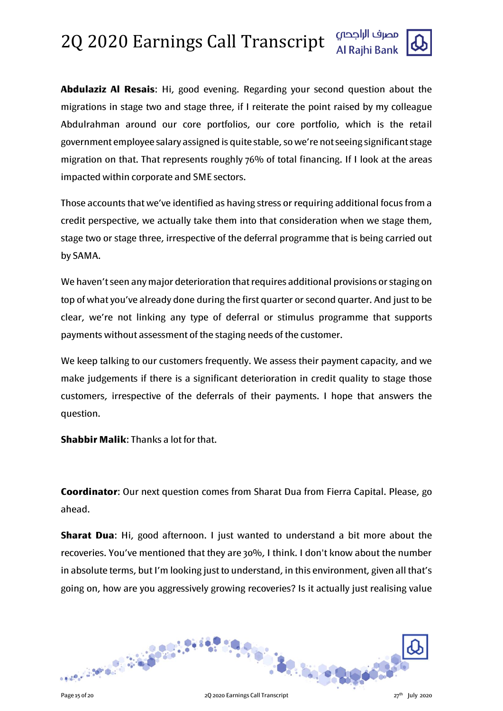**Abdulaziz Al Resais**: Hi, good evening. Regarding your second question about the migrations in stage two and stage three, if I reiterate the point raised by my colleague Abdulrahman around our core portfolios, our core portfolio, which is the retail government employee salary assigned is quite stable, so we're not seeing significant stage migration on that. That represents roughly 76% of total financing. If I look at the areas

Those accounts that we've identified as having stress or requiring additional focus from a credit perspective, we actually take them into that consideration when we stage them, stage two or stage three, irrespective of the deferral programme that is being carried out by SAMA.

We haven't seen any major deterioration that requires additional provisions or staging on top of what you've already done during the first quarter or second quarter. And just to be clear, we're not linking any type of deferral or stimulus programme that supports payments without assessment of the staging needs of the customer.

We keep talking to our customers frequently. We assess their payment capacity, and we make judgements if there is a significant deterioration in credit quality to stage those customers, irrespective of the deferrals of their payments. I hope that answers the question.

**Shabbir Malik**: Thanks a lot for that.

impacted within corporate and SME sectors.

**Coordinator**: Our next question comes from Sharat Dua from Fierra Capital. Please, go ahead.

**Sharat Dua**: Hi, good afternoon. I just wanted to understand a bit more about the recoveries. You've mentioned that they are 30%, I think. I don't know about the number in absolute terms, but I'm looking just to understand, in this environment, given all that's going on, how are you aggressively growing recoveries? Is it actually just realising value

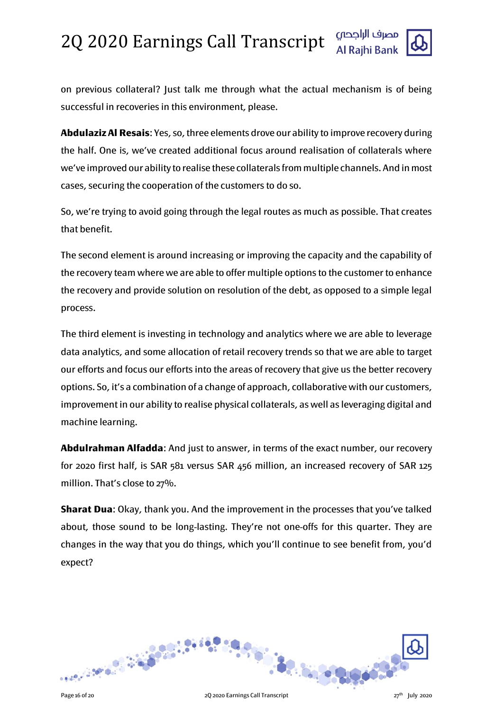

on previous collateral? Just talk me through what the actual mechanism is of being successful in recoveries in this environment, please.

**Abdulaziz Al Resais**: Yes, so, three elements drove our ability to improve recovery during the half. One is, we've created additional focus around realisation of collaterals where we've improved our ability to realise these collaterals from multiple channels. And in most cases, securing the cooperation of the customers to do so.

So, we're trying to avoid going through the legal routes as much as possible. That creates that benefit.

The second element is around increasing or improving the capacity and the capability of the recovery team where we are able to offer multiple options to the customer to enhance the recovery and provide solution on resolution of the debt, as opposed to a simple legal process.

The third element is investing in technology and analytics where we are able to leverage data analytics, and some allocation of retail recovery trends so that we are able to target our efforts and focus our efforts into the areas of recovery that give us the better recovery options. So, it's a combination of a change of approach, collaborative with our customers, improvement in our ability to realise physical collaterals, as well as leveraging digital and machine learning.

**Abdulrahman Alfadda**: And just to answer, in terms of the exact number, our recovery for 2020 first half, is SAR 581 versus SAR 456 million, an increased recovery of SAR 125 million. That's close to 27%.

**Sharat Dua**: Okay, thank you. And the improvement in the processes that you've talked about, those sound to be long-lasting. They're not one-offs for this quarter. They are changes in the way that you do things, which you'll continue to see benefit from, you'd expect?

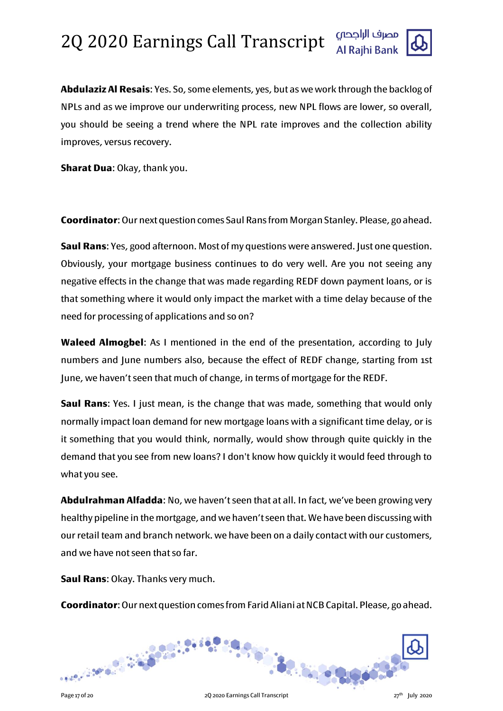

**Abdulaziz Al Resais**: Yes. So, some elements, yes, but as we work through the backlog of NPLs and as we improve our underwriting process, new NPL flows are lower, so overall, you should be seeing a trend where the NPL rate improves and the collection ability improves, versus recovery.

**Sharat Dua**: Okay, thank you.

**Coordinator**: Our next question comes Saul Rans from Morgan Stanley. Please, go ahead.

**Saul Rans**: Yes, good afternoon. Most of my questions were answered. Just one question. Obviously, your mortgage business continues to do very well. Are you not seeing any negative effects in the change that was made regarding REDF down payment loans, or is that something where it would only impact the market with a time delay because of the need for processing of applications and so on?

**Waleed Almogbel**: As I mentioned in the end of the presentation, according to July numbers and June numbers also, because the effect of REDF change, starting from 1st June, we haven't seen that much of change, in terms of mortgage for the REDF.

**Saul Rans**: Yes. I just mean, is the change that was made, something that would only normally impact loan demand for new mortgage loans with a significant time delay, or is it something that you would think, normally, would show through quite quickly in the demand that you see from new loans? I don't know how quickly it would feed through to what you see.

**Abdulrahman Alfadda**: No, we haven't seen that at all. In fact, we've been growing very healthy pipeline in the mortgage, and we haven't seen that. We have been discussing with our retail team and branch network. we have been on a daily contact with our customers, and we have not seen that so far.

**Saul Rans**: Okay. Thanks very much.

**Coordinator**: Our next question comes from Farid Aliani at NCB Capital. Please, go ahead.

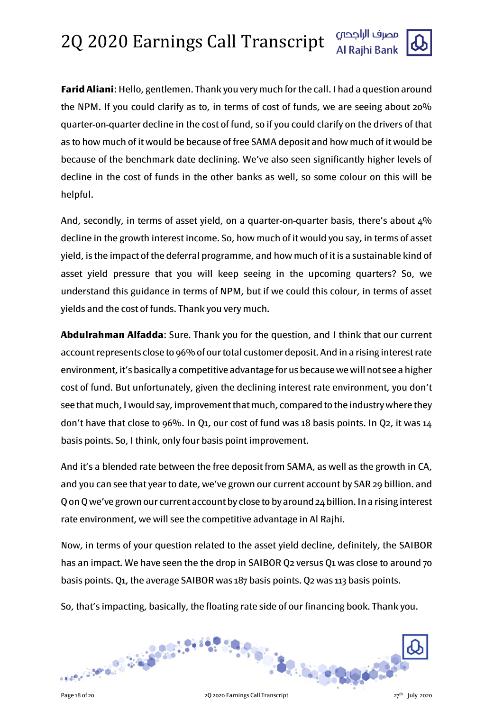**Farid Aliani**: Hello, gentlemen. Thank you very much for the call. I had a question around the NPM. If you could clarify as to, in terms of cost of funds, we are seeing about 20% quarter-on-quarter decline in the cost of fund, so if you could clarify on the drivers of that as to how much of it would be because of free SAMA deposit and how much of it would be because of the benchmark date declining. We've also seen significantly higher levels of decline in the cost of funds in the other banks as well, so some colour on this will be helpful.

And, secondly, in terms of asset yield, on a quarter-on-quarter basis, there's about 4% decline in the growth interest income. So, how much of it would you say, in terms of asset yield, is the impact of the deferral programme, and how much of it is a sustainable kind of asset yield pressure that you will keep seeing in the upcoming quarters? So, we understand this guidance in terms of NPM, but if we could this colour, in terms of asset yields and the cost of funds. Thank you very much.

**Abdulrahman Alfadda**: Sure. Thank you for the question, and I think that our current account represents close to 96% of our total customer deposit. And in a rising interest rate environment, it's basically a competitive advantage for us because we will not see a higher cost of fund. But unfortunately, given the declining interest rate environment, you don't see that much, I would say, improvement that much, compared to the industry where they don't have that close to 96%. In Q1, our cost of fund was 18 basis points. In Q2, it was 14 basis points. So, I think, only four basis point improvement.

And it's a blended rate between the free deposit from SAMA, as well as the growth in CA, and you can see that year to date, we've grown our current account by SAR 29 billion. and Q on Q we've grown our current account by close to by around 24 billion.In a rising interest rate environment, we will see the competitive advantage in Al Rajhi.

Now, in terms of your question related to the asset yield decline, definitely, the SAIBOR has an impact. We have seen the the drop in SAIBOR Q2 versus Q1 was close to around 70 basis points. Q1, the average SAIBOR was 187 basis points. Q2 was 113 basis points.

So, that's impacting, basically, the floating rate side of our financing book. Thank you.

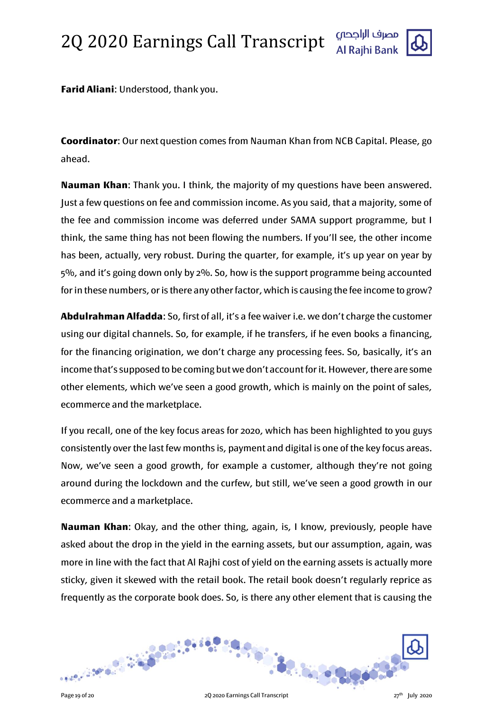

**Farid Aliani**: Understood, thank you.

**Coordinator**: Our next question comes from Nauman Khan from NCB Capital. Please, go ahead.

**Nauman Khan**: Thank you. I think, the majority of my questions have been answered. Just a few questions on fee and commission income. As you said, that a majority, some of the fee and commission income was deferred under SAMA support programme, but I think, the same thing has not been flowing the numbers. If you'll see, the other income has been, actually, very robust. During the quarter, for example, it's up year on year by 5%, and it's going down only by 2%. So, how is the support programme being accounted for in these numbers, or is there any other factor, which is causing the fee income to grow?

**Abdulrahman Alfadda**: So, first of all, it's a fee waiver i.e. we don't charge the customer using our digital channels. So, for example, if he transfers, if he even books a financing, for the financing origination, we don't charge any processing fees. So, basically, it's an income that's supposed to be coming but we don't account for it. However, there are some other elements, which we've seen a good growth, which is mainly on the point of sales, ecommerce and the marketplace.

If you recall, one of the key focus areas for 2020, which has been highlighted to you guys consistently over the last few months is, payment and digital is one of the key focus areas. Now, we've seen a good growth, for example a customer, although they're not going around during the lockdown and the curfew, but still, we've seen a good growth in our ecommerce and a marketplace.

**Nauman Khan**: Okay, and the other thing, again, is, I know, previously, people have asked about the drop in the yield in the earning assets, but our assumption, again, was more in line with the fact that Al Rajhi cost of yield on the earning assets is actually more sticky, given it skewed with the retail book. The retail book doesn't regularly reprice as frequently as the corporate book does. So, is there any other element that is causing the